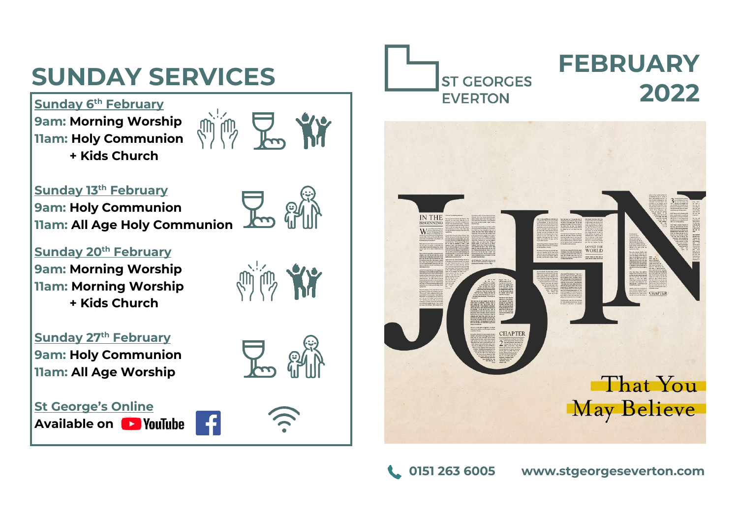# **SUNDAY SERVICES**

**Sunday 6 th February 9am: Morning Worship 11am: Holy Communion + Kids Church**



**Sunday 13th February 9am: Holy Communion 11am: All Age Holy Communion**

**Sunday 20th February 9am: Morning Worship 11am: Morning Worship + Kids Church**

**Sunday 27th February 9am: Holy Communion 11am: All Age Worship**

**St George's Online Available on** 







# **FEBRUARY 2022**